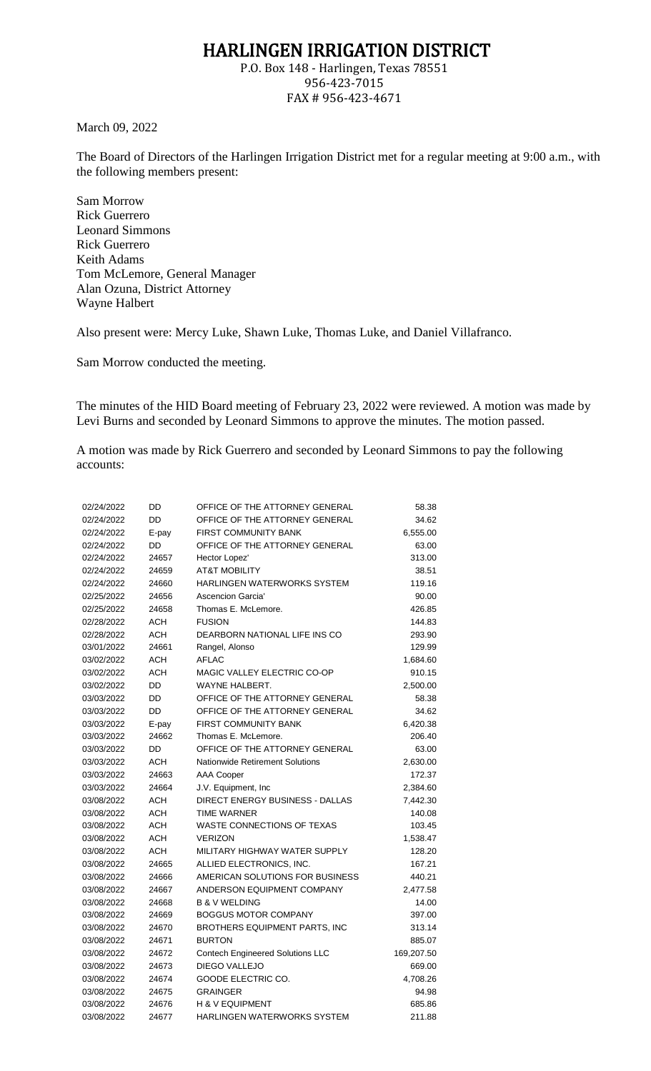## HARLINGEN IRRIGATION DISTRICT

P.O. Box 148 - Harlingen, Texas 78551 956-423-7015 FAX # 956-423-4671

March 09, 2022

The Board of Directors of the Harlingen Irrigation District met for a regular meeting at 9:00 a.m., with the following members present:

Sam Morrow Rick Guerrero Leonard Simmons Rick Guerrero Keith Adams Tom McLemore, General Manager Alan Ozuna, District Attorney Wayne Halbert

Also present were: Mercy Luke, Shawn Luke, Thomas Luke, and Daniel Villafranco.

Sam Morrow conducted the meeting.

The minutes of the HID Board meeting of February 23, 2022 were reviewed. A motion was made by Levi Burns and seconded by Leonard Simmons to approve the minutes. The motion passed.

A motion was made by Rick Guerrero and seconded by Leonard Simmons to pay the following accounts:

| 02/24/2022 | DD         | OFFICE OF THE ATTORNEY GENERAL          | 58.38      |
|------------|------------|-----------------------------------------|------------|
| 02/24/2022 | DD         | OFFICE OF THE ATTORNEY GENERAL          | 34.62      |
| 02/24/2022 | E-pay      | <b>FIRST COMMUNITY BANK</b>             | 6,555.00   |
| 02/24/2022 | DD         | OFFICE OF THE ATTORNEY GENERAL          | 63.00      |
| 02/24/2022 | 24657      | Hector Lopez'                           | 313.00     |
| 02/24/2022 | 24659      | <b>AT&amp;T MOBILITY</b>                | 38.51      |
| 02/24/2022 | 24660      | <b>HARLINGEN WATERWORKS SYSTEM</b>      | 119.16     |
| 02/25/2022 | 24656      | <b>Ascencion Garcia'</b>                | 90.00      |
| 02/25/2022 | 24658      | Thomas E. McLemore.                     | 426.85     |
| 02/28/2022 | <b>ACH</b> | <b>FUSION</b>                           | 144.83     |
| 02/28/2022 | <b>ACH</b> | DEARBORN NATIONAL LIFE INS CO           | 293.90     |
| 03/01/2022 | 24661      | Rangel, Alonso                          | 129.99     |
| 03/02/2022 | <b>ACH</b> | <b>AFLAC</b>                            | 1,684.60   |
| 03/02/2022 | <b>ACH</b> | MAGIC VALLEY ELECTRIC CO-OP             | 910.15     |
| 03/02/2022 | DD         | <b>WAYNE HALBERT.</b>                   | 2,500.00   |
| 03/03/2022 | DD         | OFFICE OF THE ATTORNEY GENERAL          | 58.38      |
| 03/03/2022 | DD         | OFFICE OF THE ATTORNEY GENERAL          | 34.62      |
| 03/03/2022 | E-pay      | <b>FIRST COMMUNITY BANK</b>             | 6,420.38   |
| 03/03/2022 | 24662      | Thomas E. McLemore.                     | 206.40     |
| 03/03/2022 | DD         | OFFICE OF THE ATTORNEY GENERAL          | 63.00      |
| 03/03/2022 | ACH        | <b>Nationwide Retirement Solutions</b>  | 2,630.00   |
| 03/03/2022 | 24663      | AAA Cooper                              | 172.37     |
| 03/03/2022 | 24664      | J.V. Equipment, Inc.                    | 2,384.60   |
| 03/08/2022 | <b>ACH</b> | DIRECT ENERGY BUSINESS - DALLAS         | 7,442.30   |
| 03/08/2022 | <b>ACH</b> | <b>TIME WARNER</b>                      | 140.08     |
| 03/08/2022 | <b>ACH</b> | <b>WASTE CONNECTIONS OF TEXAS</b>       | 103.45     |
| 03/08/2022 | <b>ACH</b> | <b>VERIZON</b>                          | 1,538.47   |
| 03/08/2022 | <b>ACH</b> | MILITARY HIGHWAY WATER SUPPLY           | 128.20     |
| 03/08/2022 | 24665      | ALLIED ELECTRONICS, INC.                | 167.21     |
| 03/08/2022 | 24666      | AMERICAN SOLUTIONS FOR BUSINESS         | 440.21     |
| 03/08/2022 | 24667      | ANDERSON EQUIPMENT COMPANY              | 2,477.58   |
| 03/08/2022 | 24668      | <b>B &amp; V WELDING</b>                | 14.00      |
| 03/08/2022 | 24669      | <b>BOGGUS MOTOR COMPANY</b>             | 397.00     |
| 03/08/2022 | 24670      | BROTHERS EQUIPMENT PARTS, INC           | 313.14     |
| 03/08/2022 | 24671      | <b>BURTON</b>                           | 885.07     |
| 03/08/2022 | 24672      | <b>Contech Engineered Solutions LLC</b> | 169,207.50 |
| 03/08/2022 | 24673      | DIEGO VALLEJO                           | 669.00     |
| 03/08/2022 | 24674      | GOODE ELECTRIC CO.                      | 4,708.26   |
| 03/08/2022 | 24675      | <b>GRAINGER</b>                         | 94.98      |
| 03/08/2022 | 24676      | <b>H &amp; V EQUIPMENT</b>              | 685.86     |
| 03/08/2022 | 24677      | HARLINGEN WATERWORKS SYSTEM             | 211.88     |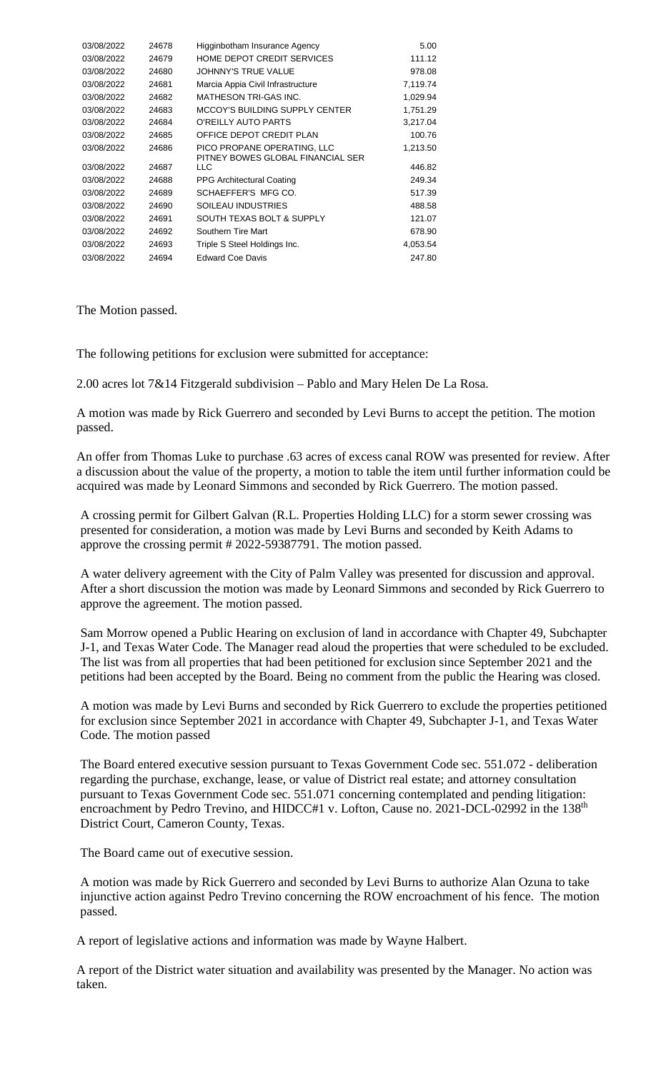| 03/08/2022 | 24678 | Higginbotham Insurance Agency                                    | 5.00     |
|------------|-------|------------------------------------------------------------------|----------|
| 03/08/2022 | 24679 | HOME DEPOT CREDIT SERVICES                                       | 111.12   |
| 03/08/2022 | 24680 | JOHNNY'S TRUE VALUE                                              | 978.08   |
| 03/08/2022 | 24681 | Marcia Appia Civil Infrastructure                                | 7,119.74 |
| 03/08/2022 | 24682 | MATHESON TRI-GAS INC.                                            | 1,029.94 |
| 03/08/2022 | 24683 | MCCOY'S BUILDING SUPPLY CENTER                                   | 1,751.29 |
| 03/08/2022 | 24684 | O'REILLY AUTO PARTS                                              | 3,217.04 |
| 03/08/2022 | 24685 | OFFICE DEPOT CREDIT PLAN                                         | 100.76   |
| 03/08/2022 | 24686 | PICO PROPANE OPERATING, LLC<br>PITNEY BOWES GLOBAL FINANCIAL SER | 1,213.50 |
| 03/08/2022 | 24687 | LLC                                                              | 446.82   |
| 03/08/2022 | 24688 | <b>PPG Architectural Coating</b>                                 | 249.34   |
| 03/08/2022 | 24689 | SCHAEFFER'S MFG CO.                                              | 517.39   |
| 03/08/2022 | 24690 | SOILEAU INDUSTRIES                                               | 488.58   |
| 03/08/2022 | 24691 | SOUTH TEXAS BOLT & SUPPLY                                        | 121.07   |
| 03/08/2022 | 24692 | Southern Tire Mart                                               | 678.90   |
| 03/08/2022 | 24693 | Triple S Steel Holdings Inc.                                     | 4,053.54 |
| 03/08/2022 | 24694 | <b>Edward Coe Davis</b>                                          | 247.80   |

The Motion passed.

The following petitions for exclusion were submitted for acceptance:

2.00 acres lot 7&14 Fitzgerald subdivision – Pablo and Mary Helen De La Rosa.

A motion was made by Rick Guerrero and seconded by Levi Burns to accept the petition. The motion passed.

An offer from Thomas Luke to purchase .63 acres of excess canal ROW was presented for review. After a discussion about the value of the property, a motion to table the item until further information could be acquired was made by Leonard Simmons and seconded by Rick Guerrero. The motion passed.

A crossing permit for Gilbert Galvan (R.L. Properties Holding LLC) for a storm sewer crossing was presented for consideration, a motion was made by Levi Burns and seconded by Keith Adams to approve the crossing permit # 2022-59387791. The motion passed.

A water delivery agreement with the City of Palm Valley was presented for discussion and approval. After a short discussion the motion was made by Leonard Simmons and seconded by Rick Guerrero to approve the agreement. The motion passed.

Sam Morrow opened a Public Hearing on exclusion of land in accordance with Chapter 49, Subchapter J-1, and Texas Water Code. The Manager read aloud the properties that were scheduled to be excluded. The list was from all properties that had been petitioned for exclusion since September 2021 and the petitions had been accepted by the Board. Being no comment from the public the Hearing was closed.

A motion was made by Levi Burns and seconded by Rick Guerrero to exclude the properties petitioned for exclusion since September 2021 in accordance with Chapter 49, Subchapter J-1, and Texas Water Code. The motion passed

The Board entered executive session pursuant to Texas Government Code sec. 551.072 - deliberation regarding the purchase, exchange, lease, or value of District real estate; and attorney consultation pursuant to Texas Government Code sec. 551.071 concerning contemplated and pending litigation: encroachment by Pedro Trevino, and HIDCC#1 v. Lofton, Cause no. 2021-DCL-02992 in the 138<sup>th</sup> District Court, Cameron County, Texas.

The Board came out of executive session.

A motion was made by Rick Guerrero and seconded by Levi Burns to authorize Alan Ozuna to take injunctive action against Pedro Trevino concerning the ROW encroachment of his fence. The motion passed.

A report of legislative actions and information was made by Wayne Halbert.

A report of the District water situation and availability was presented by the Manager. No action was taken.